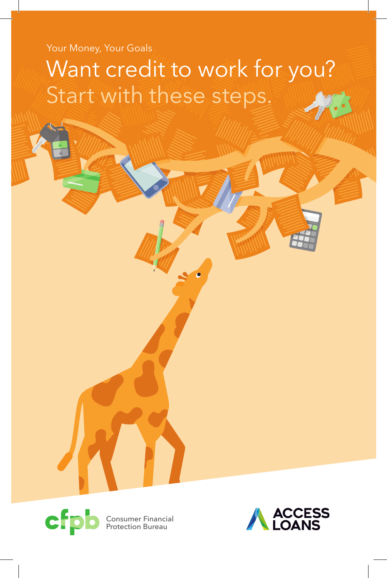# Your Money, Your Goals

# Want credit to work for you? Start with these steps.



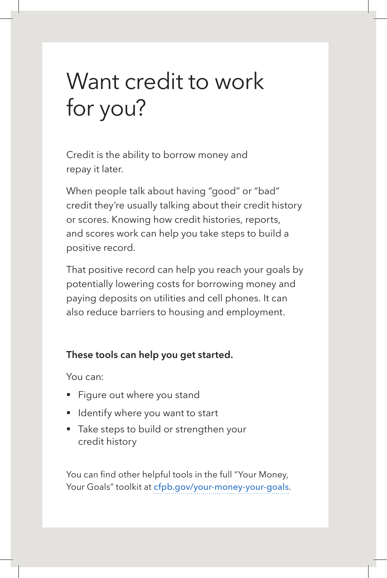# Want credit to work for you?

Credit is the ability to borrow money and repay it later.

When people talk about having "good" or "bad" credit they're usually talking about their credit history or scores. Knowing how credit histories, reports, and scores work can help you take steps to build a positive record.

That positive record can help you reach your goals by potentially lowering costs for borrowing money and paying deposits on utilities and cell phones. It can also reduce barriers to housing and employment.

### **These tools can help you get started.**

You can:

- Figure out where you stand
- Identify where you want to start
- Take steps to build or strengthen your credit history

You can find other helpful tools in the full "Your Money, Your Goals" toolkit at cfpb.gov/your-money-your-goals.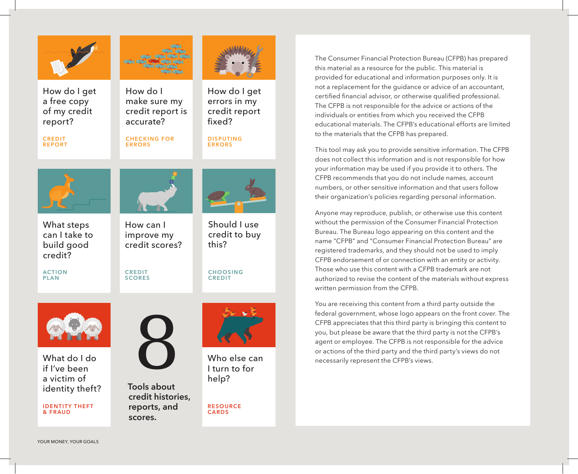

How do I get a free copy of my credit report?

**CREDIT REPORT**

**ACTION PLAN**



How do I make sure my credit report is accurate?

**CHECKING FOR ERRORS**



fixed?

#### **DISPUTING ERRORS**



What steps can I take to build good credit?



improve my credit scores?

**CREDIT SCORES**





What do I do if I've been a victim of identity theft?

**IDENTITY THEFT & FRAUD**



help? **Tools about credit histories, reports, and scores.**



**CHOOSING CREDIT**

this?

Should I use credit to buy

Who else can I turn to for

**RESOURCE CARDS**

The Consumer Financial Protection Bureau (CFPB) has prepared this material as a resource for the public. This material is provided for educational and information purposes only. It is not a replacement for the guidance or advice of an accountant, certified financial advisor, or otherwise qualified professional. The CFPB is not responsible for the advice or actions of the individuals or entities from which you received the CFPB educational materials. The CFPB's educational efforts are limited to the materials that the CFPB has prepared.

This tool may ask you to provide sensitive information. The CFPB does not collect this information and is not responsible for how your information may be used if you provide it to others. The CFPB recommends that you do not include names, account numbers, or other sensitive information and that users follow their organization's policies regarding personal information.

Anyone may reproduce, publish, or otherwise use this content without the permission of the Consumer Financial Protection Bureau. The Bureau logo appearing on this content and the name "CFPB" and "Consumer Financial Protection Bureau" are registered trademarks, and they should not be used to imply CFPB endorsement of or connection with an entity or activity. Those who use this content with a CFPB trademark are not authorized to revise the content of the materials without express written permission from the CFPB.

You are receiving this content from a third party outside the federal government, whose logo appears on the front cover. The CFPB appreciates that this third party is bringing this content to you, but please be aware that the third party is not the CFPB's agent or employee. The CFPB is not responsible for the advice or actions of the third party and the third party's views do not necessarily represent the CFPB's views.

YOUR MONEY, YOUR GOALS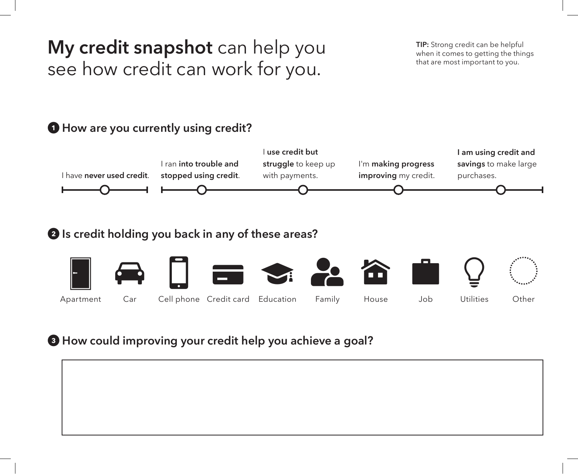# **My credit snapshot** can help you see how credit can work for you.

**TIP:** Strong credit can be helpful when it comes to getting the things that are most important to you.

# 1 **How are you currently using credit?**



# 2 **Is credit holding you back in any of these areas?**



# 3 **How could improving your credit help you achieve a goal?**

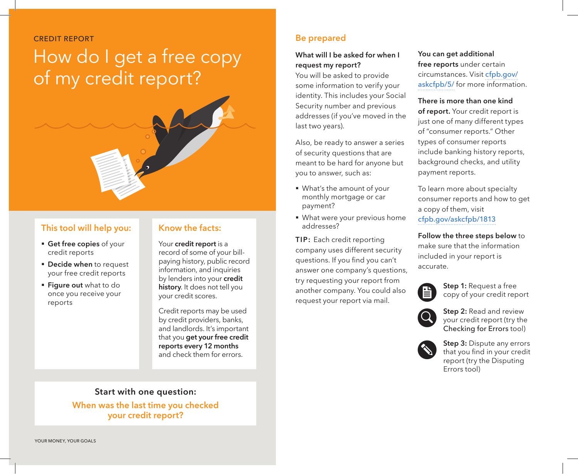CREDIT REPORT

# How do I get a free copy of my credit report?



- § **Get free copies** of your credit reports
- **Decide when** to request your free credit reports
- § **Figure out** what to do once you receive your reports

## **Know the facts:**

Your **credit report** is a record of some of your billpaying history, public record information, and inquiries by lenders into your **credit history**. It does not tell you your credit scores.

Credit reports may be used by credit providers, banks, and landlords. It's important that you **get your free credit reports every 12 months** and check them for errors.

## **Start with one question:**

**When was the last time you checked your credit report?**

## **Be prepared**

### **What will I be asked for when I request my report?**

You will be asked to provide some information to verify your identity. This includes your Social Security number and previous addresses (if you've moved in the last two years).

Also, be ready to answer a series of security questions that are meant to be hard for anyone but you to answer, such as:

- § What's the amount of your monthly mortgage or car payment?
- § What were your previous home addresses?

**TIP:** Each credit reporting company uses different security questions. If you find you can't answer one company's questions, try requesting your report from another company. You could also request your report via mail.

**You can get additional free reports** under certain circumstances. Visit cfpb.gov/ askcfpb/5/ for more information.

**There is more than one kind of report.** Your credit report is just one of many different types of "consumer reports." Other types of consumer reports include banking history reports, background checks, and utility payment reports.

To learn more about specialty consumer reports and how to get a copy of them, visit cfpb.gov/askcfpb/1813

**Follow the three steps below** to make sure that the information included in your report is accurate.



**Step 1:** Request a free<br>
copy of your credit report



Step 2: Read and review<br>
your credit report (try the<br>
charling for Freen tool) Checking for Errors tool)

**Step 3:** Dispute any errors<br>that you find in your credit<br>repeat (truthe Disputing report (try the Disputing Errors tool)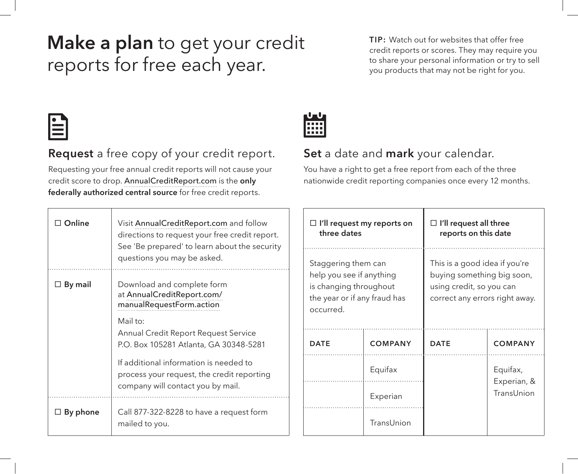# **Make a plan** to get your credit reports for free each year.

**TIP:** Watch out for websites that offer free credit reports or scores. They may require you to share your personal information or try to sell you products that may not be right for you.



# **Request** a free copy of your credit report.

Requesting your free annual credit reports will not cause your credit score to drop. AnnualCreditReport.com is the **only federally authorized central source** for free credit reports.

| Online    | Visit AnnualCreditReport.com and follow<br>directions to request your free credit report.<br>See 'Be prepared' to learn about the security<br>questions you may be asked. |
|-----------|---------------------------------------------------------------------------------------------------------------------------------------------------------------------------|
| ∃ By mail | Download and complete form<br>at AnnualCreditReport.com/<br>manualRequestForm.action                                                                                      |
|           | Mail to:<br>Annual Credit Report Request Service<br>P.O. Box 105281 Atlanta, GA 30348-5281                                                                                |
|           | If additional information is needed to<br>process your request, the credit reporting<br>company will contact you by mail.                                                 |
| By phone  | Call 877-322-8228 to have a request form<br>mailed to you.                                                                                                                |



# **Set** a date and **mark** your calendar.

You have a right to get a free report from each of the three nationwide credit reporting companies once every 12 months.

| $\Box$ I'll request my reports on<br>three dates                                                                       |                | I'll request all three<br>reports on this date                                                                            |                           |  |
|------------------------------------------------------------------------------------------------------------------------|----------------|---------------------------------------------------------------------------------------------------------------------------|---------------------------|--|
| Staggering them can<br>help you see if anything<br>is changing throughout<br>the year or if any fraud has<br>occurred. |                | This is a good idea if you're<br>buying something big soon,<br>using credit, so you can<br>correct any errors right away. |                           |  |
| <b>DATE</b>                                                                                                            | <b>COMPANY</b> |                                                                                                                           | <b>COMPANY</b>            |  |
|                                                                                                                        | Equifax        |                                                                                                                           | Equifax,                  |  |
|                                                                                                                        | Experian       |                                                                                                                           | Experian, &<br>TransUnion |  |
|                                                                                                                        | TransUnion     |                                                                                                                           |                           |  |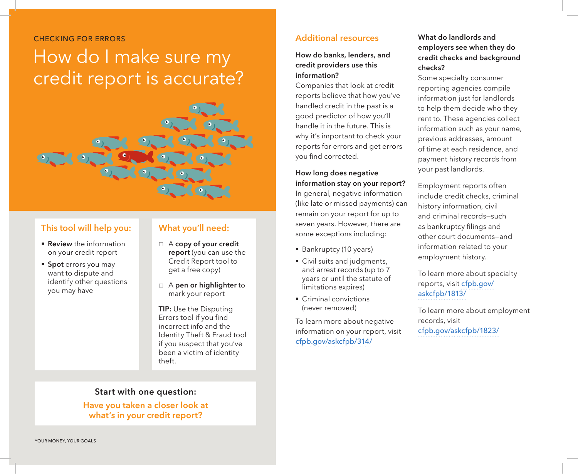#### CHECKING FOR ERRORS

# How do I make sure my credit report is accurate?



### **This tool will help you:**

- **Review** the information on your credit report
- § **Spot** errors you may want to dispute and identify other questions you may have

### **What you'll need:**

- □ A **copy of your credit report** (you can use the Credit Report tool to get a free copy)
- $\Box$  A **pen or highlighter** to mark your report

**TIP:** Use the Disputing Errors tool if you find incorrect info and the Identity Theft & Fraud tool if you suspect that you've been a victim of identity theft.

# **Start with one question:**

**Have you taken a closer look at what's in your credit report?**

### **Additional resources**

#### **How do banks, lenders, and credit providers use this information?**

Companies that look at credit reports believe that how you've handled credit in the past is a good predictor of how you'll handle it in the future. This is why it's important to check your reports for errors and get errors you find corrected.

#### **How long does negative information stay on your report?**

In general, negative information (like late or missed payments) can remain on your report for up to seven years. However, there are some exceptions including:

- Bankruptcy (10 years)
- Civil suits and judgments, and arrest records (up to 7 years or until the statute of limitations expires)
- Criminal convictions (never removed)

To learn more about negative information on your report, visit cfpb.gov/askcfpb/314/

### **What do landlords and employers see when they do credit checks and background checks?**

Some specialty consumer reporting agencies compile information just for landlords to help them decide who they rent to. These agencies collect information such as your name, previous addresses, amount of time at each residence, and payment history records from your past landlords.

Employment reports often include credit checks, criminal history information, civil and criminal records—such as bankruptcy filings and other court documents—and information related to your employment history.

To learn more about specialty reports, visit cfpb.gov/ askcfpb/1813/

To learn more about employment records, visit cfpb.gov/askcfpb/1823/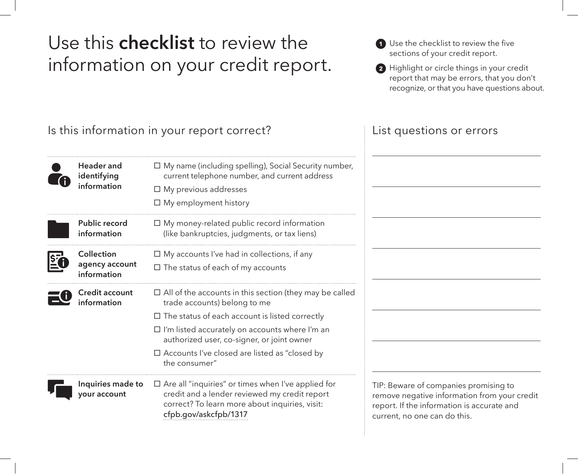# Use this **checklist** to review the information on your credit report.

| 1 Use the checklist to review the five |
|----------------------------------------|
| sections of your credit report.        |

2 Highlight or circle things in your credit report that may be errors, that you don't recognize, or that you have questions about.

Is this information in your report correct?

#### **Header and identifying information**

| Public record<br>information |
|------------------------------|





**Credit account information**

 $\square$  My money-related public record information (like bankruptcies, judgments, or tax liens)  $\square$  My accounts I've had in collections, if any  $\square$  The status of each of my accounts

 $\Box$  My previous addresses  $\square$  My employment history

 $\square$  All of the accounts in this section (they may be called trade accounts) belong to me  $\square$  The status of each account is listed correctly

 $\square$  My name (including spelling), Social Security number, current telephone number, and current address

 $\square$  I'm listed accurately on accounts where I'm an authorized user, co-signer, or joint owner

 $\square$  Are all "inquiries" or times when I've applied for credit and a lender reviewed my credit report correct? To learn more about inquiries, visit:

 $\square$  Accounts I've closed are listed as "closed by the consumer"

cfpb.gov/askcfpb/1317

 **Inquiries made to your account**

TIP: Beware of companies promising to remove negative information from your credit report. If the information is accurate and current, no one can do this.

# List questions or errors

 $\overline{a}$ 

 $\overline{a}$ 

 $\overline{a}$ 

 $\overline{a}$ 

 $\overline{a}$ 

 $\overline{a}$ 

 $\overline{a}$ 

 $\overline{a}$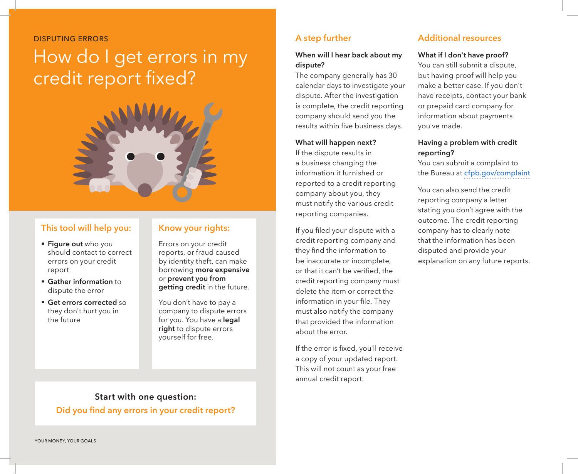DISPUTING ERRORS

# How do I get errors in my credit report fixed?



### **This tool will help you:**

- § **Figure out** who you should contact to correct errors on your credit report
- § **Gather information** to dispute the error
- § **Get errors corrected** so they don't hurt you in the future

## **Know your rights:**

Errors on your credit reports, or fraud caused by identity theft, can make borrowing **more expensive**  or **prevent you from getting credit** in the future.

You don't have to pay a company to dispute errors for you. You have a **legal right** to dispute errors yourself for free.

# **A step further**

#### **When will I hear back about my dispute?**

The company generally has 30 calendar days to investigate your dispute. After the investigation is complete, the credit reporting company should send you the results within five business days.

#### **What will happen next?**

If the dispute results in a business changing the information it furnished or reported to a credit reporting company about you, they must notify the various credit reporting companies.

If you filed your dispute with a credit reporting company and they find the information to be inaccurate or incomplete, or that it can't be verified, the credit reporting company must delete the item or correct the information in your file. They must also notify the company that provided the information about the error.

If the error is fixed, you'll receive a copy of your updated report. This will not count as your free annual credit report.

# **Additional resources**

#### **What if I don't have proof?**

You can still submit a dispute, but having proof will help you make a better case. If you don't have receipts, contact your bank or prepaid card company for information about payments you've made.

#### **Having a problem with credit reporting?**

You can submit a complaint to the Bureau at cfpb.gov/complaint

You can also send the credit reporting company a letter stating you don't agree with the outcome. The credit reporting company has to clearly note that the information has been disputed and provide your explanation on any future reports.

**Start with one question: Did you find any errors in your credit report?**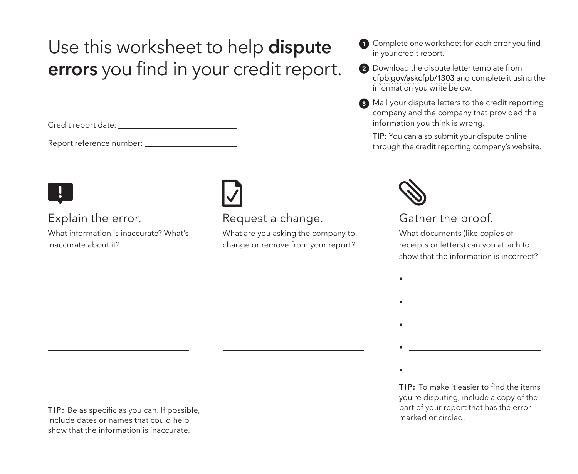# Use this worksheet to help **dispute errors** you find in your credit report.

Credit report date:

Q

 $\overline{a}$ 

 $\overline{a}$ 

 $\overline{a}$ 

 $\overline{a}$ 

 $\overline{a}$ 

 $\overline{a}$ 

Report reference number:

# Explain the error.

What information is inaccurate? What's inaccurate about it?

 $\boxed{\phantom{1}}$ 

 $\overline{a}$ 

 $\overline{a}$ 

 $\overline{a}$ 

 $\overline{a}$ 

 $\overline{a}$ 

 $\overline{a}$ 

# Request a change.

What are you asking the company to change or remove from your report?

| <b>1</b> Complete one worksheet for each error you find |
|---------------------------------------------------------|
| in your credit report.                                  |

- 2 Download the dispute letter template from cfpb.gov/askcfpb/1303 and complete it using the information you write below.
- <sup>3</sup> Mail your dispute letters to the credit reporting company and the company that provided the information you think is wrong.

**TIP:** You can also submit your dispute online through the credit reporting company's website.



§

# Gather the proof.

What documents (like copies of receipts or letters) can you attach to show that the information is incorrect?



**TIP:** To make it easier to find the items you're disputing, include a copy of the part of your report that has the error marked or circled.

**TIP:** Be as specific as you can. If possible, include dates or names that could help show that the information is inaccurate.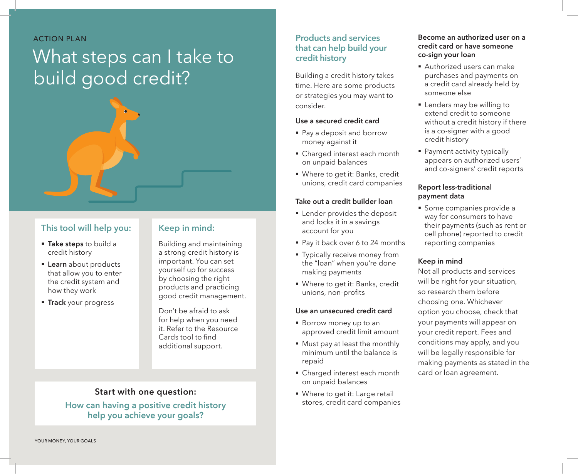ACTION PLAN

# What steps can I take to build good credit?



### **This tool will help you:**

- § **Take steps** to build a credit history
- § **Learn** about products that allow you to enter the credit system and how they work
- **Firack** your progress

### **Keep in mind:**

Building and maintaining a strong credit history is important. You can set yourself up for success by choosing the right products and practicing good credit management.

Don't be afraid to ask for help when you need it. Refer to the Resource Cards tool to find additional support.

## **Start with one question:**

**How can having a positive credit history help you achieve your goals?**

## **Products and services that can help build your credit history**

Building a credit history takes time. Here are some products or strategies you may want to consider.

#### **Use a secured credit card**

- Pay a deposit and borrow money against it
- § Charged interest each month on unpaid balances
- § Where to get it: Banks, credit unions, credit card companies

#### **Take out a credit builder loan**

- **Exercise** Lender provides the deposit and locks it in a savings account for you
- Pay it back over 6 to 24 months
- **Typically receive money from** the "loan" when you're done making payments
- § Where to get it: Banks, credit unions, non-profits

#### **Use an unsecured credit card**

- Borrow money up to an approved credit limit amount
- § Must pay at least the monthly minimum until the balance is repaid
- § Charged interest each month on unpaid balances
- Where to get it: Large retail stores, credit card companies

#### **Become an authorized user on a credit card or have someone co-sign your loan**

- § Authorized users can make purchases and payments on a credit card already held by someone else
- Lenders may be willing to extend credit to someone without a credit history if there is a co-signer with a good credit history
- § Payment activity typically appears on authorized users' and co-signers' credit reports

#### **Report less-traditional payment data**

§ Some companies provide a way for consumers to have their payments (such as rent or cell phone) reported to credit reporting companies

#### **Keep in mind**

Not all products and services will be right for your situation, so research them before choosing one. Whichever option you choose, check that your payments will appear on your credit report. Fees and conditions may apply, and you will be legally responsible for making payments as stated in the card or loan agreement.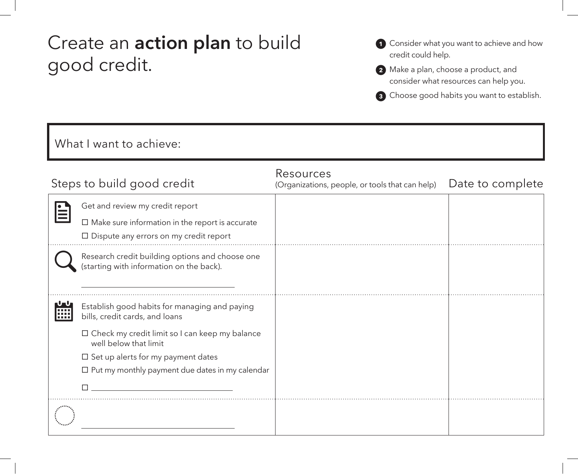# Create an **action plan** to build good credit.

- **1** Consider what you want to achieve and how credit could help.
- 2 Make a plan, choose a product, and consider what resources can help you.
- <sup>3</sup> Choose good habits you want to establish.

# What I want to achieve: Steps to build good credit Resources (Organizations, people, or tools that can help) Date to complete Get and review my credit report<br>
<del>■</del><br>
■ Make sure information in the report is accurate  $\square$  Dispute any errors on my credit report Research credit building options and choose one (starting with information on the back).  $\overline{a}$ Establish good habits for managing and paying<br>
iiii bills, credit cards, and loans bills, credit cards, and loans  $\square$  Check my credit limit so I can keep my balance well below that limit  $\square$  Set up alerts for my payment dates  $\square$  Put my monthly payment due dates in my calendar  $\square$  .  $\overline{a}$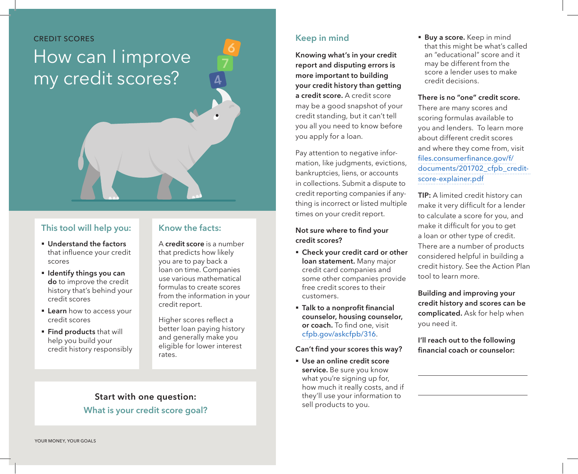#### CREDIT SCORES

# How can I improve my credit scores?

### **This tool will help you:**

- § **Understand the factors**  that influence your credit scores
- § **Identify things you can do** to improve the credit history that's behind your credit scores
- § **Learn** how to access your credit scores
- § **Find products** that will help you build your credit history responsibly

# **Know the facts:**

A **credit score** is a number that predicts how likely you are to pay back a loan on time. Companies use various mathematical formulas to create scores from the information in your credit report.

Higher scores reflect a better loan paying history and generally make you eligible for lower interest rates.

# **Start with one question: What is your credit score goal?**

### **Keep in mind**

**Knowing what's in your credit report and disputing errors is more important to building your credit history than getting a credit score.** A credit score may be a good snapshot of your credit standing, but it can't tell you all you need to know before you apply for a loan.

Pay attention to negative information, like judgments, evictions, bankruptcies, liens, or accounts in collections. Submit a dispute to credit reporting companies if anything is incorrect or listed multiple times on your credit report.

#### **Not sure where to find your credit scores?**

- § **Check your credit card or other loan statement.** Many major credit card companies and some other companies provide free credit scores to their customers.
- § **Talk to a nonprofit financial counselor, housing counselor, or coach.** To find one, visit cfpb.gov/askcfpb/316.

**Can't find your scores this way?** 

§ **Use an online credit score service.** Be sure you know what you're signing up for, how much it really costs, and if they'll use your information to sell products to you.

**Buy a score.** Keep in mind that this might be what's called an "educational" score and it may be different from the score a lender uses to make credit decisions.

#### **There is no "one" credit score.**

There are many scores and scoring formulas available to you and lenders. To learn more about different credit scores and where they come from, visit files.consumerfinance.gov/f/ documents/201702\_cfpb\_creditscore-explainer.pdf

**TIP:** A limited credit history can make it very difficult for a lender to calculate a score for you, and make it difficult for you to get a loan or other type of credit. There are a number of products considered helpful in building a credit history. See the Action Plan tool to learn more.

**Building and improving your credit history and scores can be complicated.** Ask for help when you need it.

**I'll reach out to the following financial coach or counselor:**

 $\overline{a}$ 

 $\overline{a}$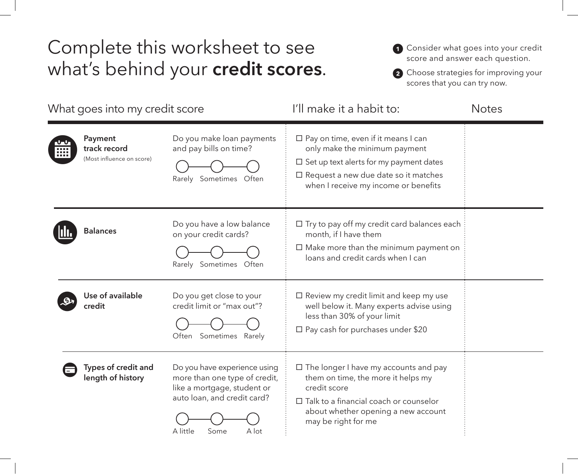# Complete this worksheet to see what's behind your **credit scores**.

- **1** Consider what goes into your credit score and answer each question.
- 2 Choose strategies for improving your scores that you can try now.

| What goes into my credit score |                                                      |                                                                                                                                                          | I'll make it a habit to:                                                                                                                                                                                                | <b>Notes</b> |
|--------------------------------|------------------------------------------------------|----------------------------------------------------------------------------------------------------------------------------------------------------------|-------------------------------------------------------------------------------------------------------------------------------------------------------------------------------------------------------------------------|--------------|
|                                | Payment<br>track record<br>(Most influence on score) | Do you make loan payments<br>and pay bills on time?<br>Rarely Sometimes Often                                                                            | $\Box$ Pay on time, even if it means I can<br>only make the minimum payment<br>$\square$ Set up text alerts for my payment dates<br>$\Box$ Request a new due date so it matches<br>when I receive my income or benefits |              |
|                                | <b>Balances</b>                                      | Do you have a low balance<br>on your credit cards?<br>Rarely Sometimes<br>Often                                                                          | $\Box$ Try to pay off my credit card balances each<br>month, if I have them<br>$\Box$ Make more than the minimum payment on<br>loans and credit cards when I can                                                        |              |
|                                | Use of available<br>credit                           | Do you get close to your<br>credit limit or "max out"?<br>Often Sometimes<br>Rarely                                                                      | $\Box$ Review my credit limit and keep my use<br>well below it. Many experts advise using<br>less than 30% of your limit<br>$\Box$ Pay cash for purchases under \$20                                                    |              |
|                                | Types of credit and<br>length of history             | Do you have experience using<br>more than one type of credit,<br>like a mortgage, student or<br>auto loan, and credit card?<br>A little<br>Some<br>A lot | $\Box$ The longer I have my accounts and pay<br>them on time, the more it helps my<br>credit score<br>$\Box$ Talk to a financial coach or counselor<br>about whether opening a new account<br>may be right for me       |              |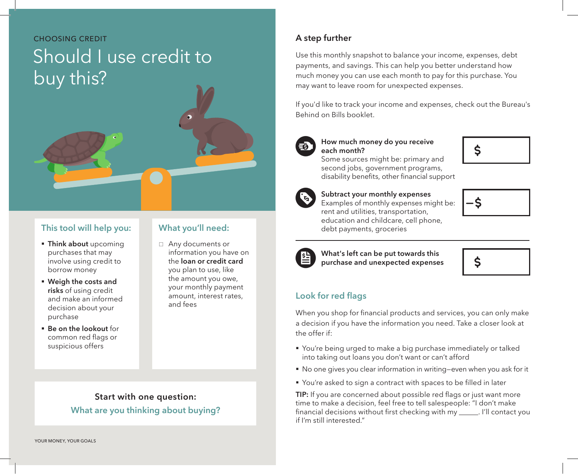# CHOOSING CREDIT Should I use credit to buy this?

### **This tool will help you:**

- **Think about** upcoming purchases that may involve using credit to borrow money
- § **Weigh the costs and risks** of using credit and make an informed decision about your purchase
- § **Be on the lookout** for common red flags or suspicious offers

# **What you'll need:**

 $\Box$  Any documents or information you have on the **loan or credit card**  you plan to use, like the amount you owe, your monthly payment amount, interest rates, and fees

# **Start with one question: What are you thinking about buying?**

# **A step further**

Use this monthly snapshot to balance your income, expenses, debt payments, and savings. This can help you better understand how much money you can use each month to pay for this purchase. You may want to leave room for unexpected expenses.

If you'd like to track your income and expenses, check out the Bureau's Behind on Bills booklet.



### **How much money do you receive each month?**

Some sources might be: primary and second jobs, government programs, disability benefits, other financial support



 **Subtract your monthly expenses** Examples of monthly expenses might be: rent and utilities, transportation, education and childcare, cell phone, debt payments, groceries





What's left can be put towards this purchase and unexpected expenses



# **Look for red flags**

When you shop for financial products and services, you can only make a decision if you have the information you need. Take a closer look at the offer if:

- § You're being urged to make a big purchase immediately or talked into taking out loans you don't want or can't afford
- No one gives you clear information in writing–even when you ask for it
- You're asked to sign a contract with spaces to be filled in later

TIP: If you are concerned about possible red flags or just want more time to make a decision, feel free to tell salespeople: "I don't make financial decisions without first checking with my \_\_\_\_\_\_. I'll contact you if I'm still interested."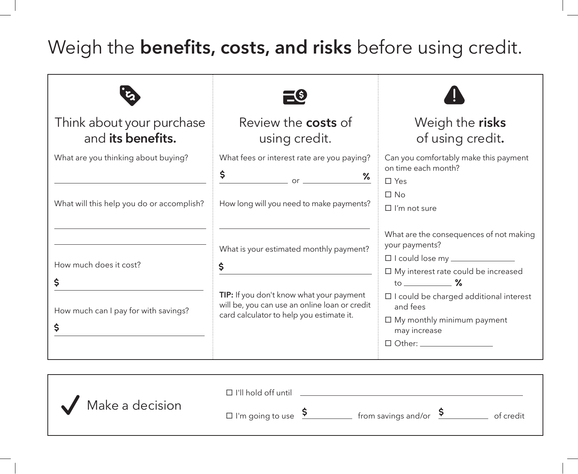# Weigh the **benefits, costs, and risks** before using credit.

| Think about your purchase<br>and its benefits.                                   | Review the <b>costs</b> of<br>using credit.                                                                                                                                            | Weigh the risks<br>of using credit.                                                                                                                                                                                                                                                                                                                  |
|----------------------------------------------------------------------------------|----------------------------------------------------------------------------------------------------------------------------------------------------------------------------------------|------------------------------------------------------------------------------------------------------------------------------------------------------------------------------------------------------------------------------------------------------------------------------------------------------------------------------------------------------|
| What are you thinking about buying?<br>What will this help you do or accomplish? | What fees or interest rate are you paying?<br>\$<br>$\%$<br>$\overline{\phantom{a}}$ or $\overline{\phantom{a}}$<br>How long will you need to make payments?                           | Can you comfortably make this payment<br>on time each month?<br>$\square$ Yes<br>$\Box$ No<br>$\Box$ I'm not sure                                                                                                                                                                                                                                    |
| How much does it cost?<br>\$<br>How much can I pay for with savings?<br>\$       | What is your estimated monthly payment?<br>\$<br>TIP: If you don't know what your payment<br>will be, you can use an online loan or credit<br>card calculator to help you estimate it. | What are the consequences of not making<br>your payments?<br>□ I could lose my <u>____________</u><br>$\square$ My interest rate could be increased<br>to $\sim$ %<br>$\Box$ I could be charged additional interest<br>and fees<br>$\Box$ My monthly minimum payment<br>may increase<br>$\Box$ Other: $\_\_\_\_\_\_\_\_\_\_\_\_\_\_\_\_\_\_\_\_\_\_$ |

|                 | $\Box$ I'll hold off until         |                                   |           |
|-----------------|------------------------------------|-----------------------------------|-----------|
| Make a decision | $\square$ I'm going to use $\zeta$ | from savings and/or $\frac{5}{2}$ | of credit |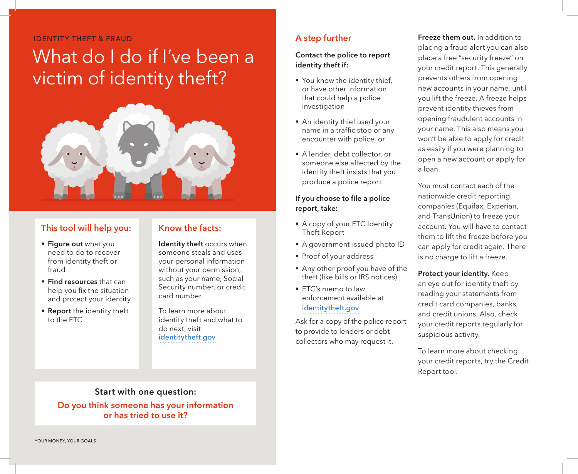#### IDENTITY THEFT & FRAUD

# What do I do if I've been a victim of identity theft?



### **This tool will help you:**

- § **Figure out** what you need to do to recover from identity theft or fraud
- § **Find resources** that can help you fix the situation and protect your identity
- **Report** the identity theft to the FTC

### **Know the facts:**

**Identity theft** occurs when someone steals and uses your personal information without your permission, such as your name, Social Security number, or credit card number.

To learn more about identity theft and what to do next, visit identitytheft.gov

## **A step further**

### **Contact the police to report identity theft if:**

- You know the identity thief, or have other information that could help a police investigation
- An identity thief used your name in a traffic stop or any encounter with police, or
- § A lender, debt collector, or someone else affected by the identity theft insists that you produce a police report

#### **If you choose to file a police report, take:**

- A copy of your FTC Identity Theft Report
- § A government-issued photo ID
- § Proof of your address
- § Any other proof you have of the theft (like bills or IRS notices)
- FTC's memo to law enforcement available at identitytheft.gov

Ask for a copy of the police report to provide to lenders or debt collectors who may request it.

**Freeze them out.** In addition to placing a fraud alert you can also place a free "security freeze" on your credit report. This generally prevents others from opening new accounts in your name, until you lift the freeze. A freeze helps prevent identity thieves from opening fraudulent accounts in your name. This also means you won't be able to apply for credit as easily if you were planning to open a new account or apply for a loan.

You must contact each of the nationwide credit reporting companies (Equifax, Experian, and TransUnion) to freeze your account. You will have to contact them to lift the freeze before you can apply for credit again. There is no charge to lift a freeze.

#### **Protect your identity.** Keep

an eye out for identity theft by reading your statements from credit card companies, banks, and credit unions. Also, check your credit reports regularly for suspicious activity.

To learn more about checking your credit reports, try the Credit Report tool.

# **Start with one question:**

**Do you think someone has your information or has tried to use it?**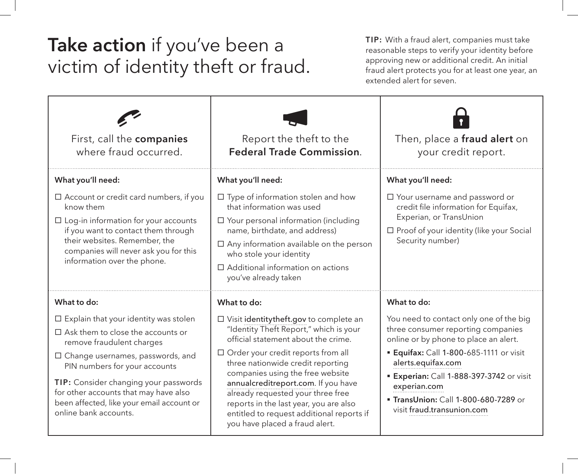# **Take action** if you've been a victim of identity theft or fraud.

**TIP:** With a fraud alert, companies must take reasonable steps to verify your identity before approving new or additional credit. An initial fraud alert protects you for at least one year, an extended alert for seven.

| First, call the companies<br>where fraud occurred.                                                                                                                                                                                                                                                                                                        | Report the theft to the<br><b>Federal Trade Commission.</b>                                                                                                                                                                                                                                                                                                                                                                                          | Then, place a fraud alert on<br>your credit report.                                                                                                                                                                                                                                                                                 |
|-----------------------------------------------------------------------------------------------------------------------------------------------------------------------------------------------------------------------------------------------------------------------------------------------------------------------------------------------------------|------------------------------------------------------------------------------------------------------------------------------------------------------------------------------------------------------------------------------------------------------------------------------------------------------------------------------------------------------------------------------------------------------------------------------------------------------|-------------------------------------------------------------------------------------------------------------------------------------------------------------------------------------------------------------------------------------------------------------------------------------------------------------------------------------|
| What you'll need:                                                                                                                                                                                                                                                                                                                                         | What you'll need:                                                                                                                                                                                                                                                                                                                                                                                                                                    | What you'll need:                                                                                                                                                                                                                                                                                                                   |
| $\Box$ Account or credit card numbers, if you<br>know them<br>$\Box$ Log-in information for your accounts<br>if you want to contact them through<br>their websites. Remember, the<br>companies will never ask you for this<br>information over the phone.                                                                                                 | $\Box$ Type of information stolen and how<br>that information was used<br>$\Box$ Your personal information (including<br>name, birthdate, and address)<br>$\Box$ Any information available on the person<br>who stole your identity<br>$\Box$ Additional information on actions<br>you've already taken                                                                                                                                              | $\Box$ Your username and password or<br>credit file information for Equifax,<br>Experian, or TransUnion<br>$\Box$ Proof of your identity (like your Social<br>Security number)                                                                                                                                                      |
| What to do:                                                                                                                                                                                                                                                                                                                                               | What to do:                                                                                                                                                                                                                                                                                                                                                                                                                                          | What to do:                                                                                                                                                                                                                                                                                                                         |
| $\Box$ Explain that your identity was stolen<br>$\Box$ Ask them to close the accounts or<br>remove fraudulent charges<br>$\Box$ Change usernames, passwords, and<br>PIN numbers for your accounts<br>TIP: Consider changing your passwords<br>for other accounts that may have also<br>been affected, like your email account or<br>online bank accounts. | □ Visit identitytheft.gov to complete an<br>"Identity Theft Report," which is your<br>official statement about the crime.<br>$\Box$ Order your credit reports from all<br>three nationwide credit reporting<br>companies using the free website<br>annualcreditreport.com. If you have<br>already requested your three free<br>reports in the last year, you are also<br>entitled to request additional reports if<br>you have placed a fraud alert. | You need to contact only one of the big<br>three consumer reporting companies<br>online or by phone to place an alert.<br><b>Equifax: Call 1-800-685-1111 or visit</b><br>alerts.equifax.com<br><b>Experian: Call 1-888-397-3742</b> or visit<br>experian.com<br>" TransUnion: Call 1-800-680-7289 or<br>visit fraud.transunion.com |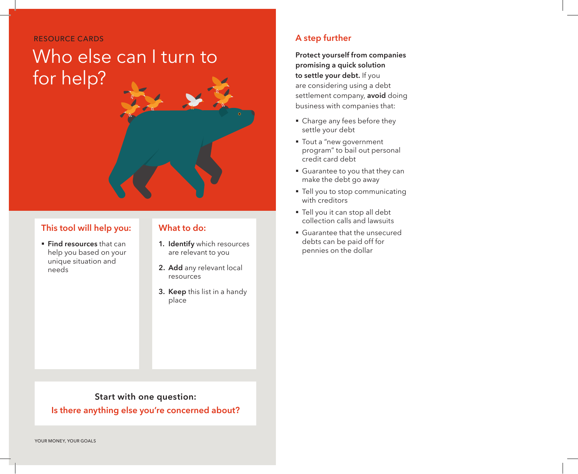RESOURCE CARDS

# Who else can I turn to for help?

## **This tool will help you:**

§ **Find resources** that can help you based on your unique situation and needs

## **What to do:**

- **1. Identify** which resources are relevant to you
- **2. Add** any relevant local resources
- **3. Keep** this list in a handy place

# **A step further**

**Protect yourself from companies promising a quick solution to settle your debt.** If you are considering using a debt settlement company, **avoid** doing business with companies that:

- Charge any fees before they settle your debt
- Tout a "new government program" to bail out personal credit card debt
- Guarantee to you that they can make the debt go away
- Tell you to stop communicating with creditors
- § Tell you it can stop all debt collection calls and lawsuits
- § Guarantee that the unsecured debts can be paid off for pennies on the dollar

### **Start with one question:**

**Is there anything else you're concerned about?**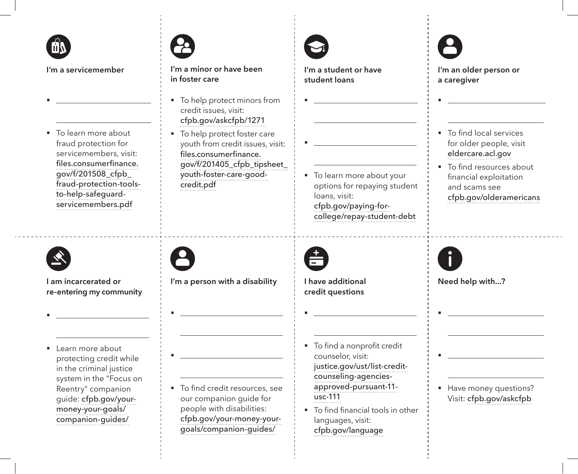

§

 $\overline{a}$ 

**I'm a servicemember**

■ To learn more about fraud protection for servicemembers, visit: files.consumerfinance. gov/f/201508\_cfpb\_ fraud-protection-toolsto-help-safeguardservicemembers.pdf



**I'm a minor or have been in foster care**

- To help protect minors from credit issues, visit: cfpb.gov/askcfpb/1271
- To help protect foster care youth from credit issues, visit: files.consumerfinance. gov/f/201405\_cfpb\_tipsheet\_ youth-foster-care-goodcredit.pdf

§

 $\overline{a}$ 

**I'm a student or have student loans**

§  $\overline{a}$ ■ To learn more about your options for repaying student loans, visit: cfpb.gov/paying-forcollege/repay-student-debt



§

 $\overline{a}$ 

**I'm an older person or a caregiver**

- To find local services for older people, visit eldercare.acl.gov
- To find resources about financial exploitation and scams see cfpb.gov/olderamericans



§

 $\overline{a}$ 

**I am incarcerated or re-entering my community**

■ Learn more about protecting credit while in the criminal justice system in the "Focus on Reentry" companion guide: cfpb.gov/yourmoney-your-goals/ companion-guides/

8

§

§

 $\overline{a}$ 

 $\overline{a}$ 

**I'm a person with a disability**

■ To find credit resources, see our companion guide for people with disabilities: cfpb.gov/your-money-yourgoals/companion-guides/



§

 $\overline{a}$ 

**I have additional credit questions**

- To find a nonprofit credit counselor, visit: justice.gov/ust/list-creditcounseling-agenciesapproved-pursuant-11  $usc-111$
- To find financial tools in other languages, visit: cfpb.gov/language



§

§

 $\overline{a}$ 

 $\overline{a}$ 

**Need help with...?**

■ Have money questions? Visit: cfpb.gov/askcfpb